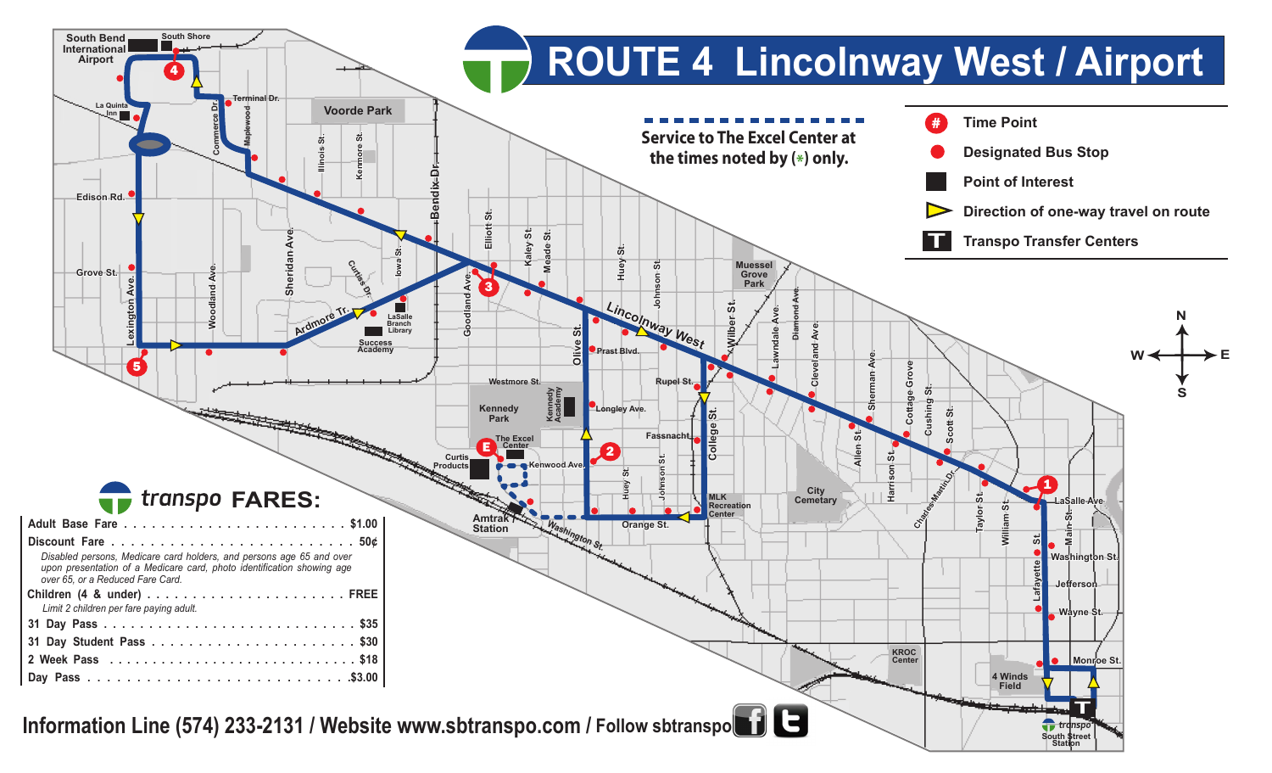